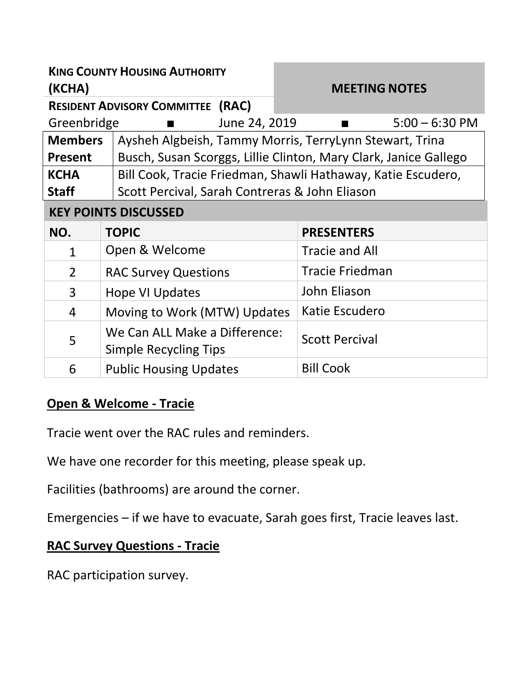| <b>KING COUNTY HOUSING AUTHORITY</b><br>(KCHA) |                                                               | <b>MEETING NOTES</b>                                             |
|------------------------------------------------|---------------------------------------------------------------|------------------------------------------------------------------|
| <b>RESIDENT ADVISORY COMMITTEE (RAC)</b>       |                                                               |                                                                  |
| June 24, 2019<br>Greenbridge<br>$\blacksquare$ |                                                               | $5:00 - 6:30$ PM<br>$\blacksquare$                               |
| <b>Members</b>                                 |                                                               | Aysheh Algbeish, Tammy Morris, TerryLynn Stewart, Trina          |
| <b>Present</b>                                 |                                                               | Busch, Susan Scorggs, Lillie Clinton, Mary Clark, Janice Gallego |
| <b>KCHA</b>                                    |                                                               | Bill Cook, Tracie Friedman, Shawli Hathaway, Katie Escudero,     |
| <b>Staff</b>                                   | Scott Percival, Sarah Contreras & John Eliason                |                                                                  |
| <b>KEY POINTS DISCUSSED</b>                    |                                                               |                                                                  |
| NO.                                            | <b>TOPIC</b>                                                  | <b>PRESENTERS</b>                                                |
| 1                                              | Open & Welcome                                                | <b>Tracie and All</b>                                            |
| $\overline{2}$                                 | <b>RAC Survey Questions</b>                                   | <b>Tracie Friedman</b>                                           |
| 3                                              | <b>Hope VI Updates</b>                                        | John Eliason                                                     |
| $\overline{4}$                                 | Moving to Work (MTW) Updates                                  | Katie Escudero                                                   |
| 5                                              | We Can ALL Make a Difference:<br><b>Simple Recycling Tips</b> | <b>Scott Percival</b>                                            |
| 6                                              | <b>Public Housing Updates</b>                                 | <b>Bill Cook</b>                                                 |

## **Open & Welcome - Tracie**

Tracie went over the RAC rules and reminders.

We have one recorder for this meeting, please speak up.

Facilities (bathrooms) are around the corner.

Emergencies – if we have to evacuate, Sarah goes first, Tracie leaves last.

## **RAC Survey Questions - Tracie**

RAC participation survey.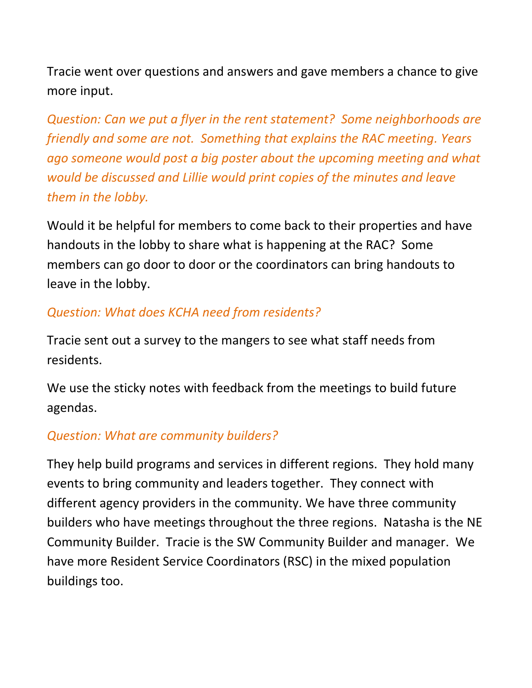Tracie went over questions and answers and gave members a chance to give more input.

*Question: Can we put a flyer in the rent statement? Some neighborhoods are friendly and some are not. Something that explains the RAC meeting. Years ago someone would post a big poster about the upcoming meeting and what would be discussed and Lillie would print copies of the minutes and leave them in the lobby.*

Would it be helpful for members to come back to their properties and have handouts in the lobby to share what is happening at the RAC? Some members can go door to door or the coordinators can bring handouts to leave in the lobby.

## *Question: What does KCHA need from residents?*

Tracie sent out a survey to the mangers to see what staff needs from residents.

We use the sticky notes with feedback from the meetings to build future agendas.

## *Question: What are community builders?*

They help build programs and services in different regions. They hold many events to bring community and leaders together. They connect with different agency providers in the community. We have three community builders who have meetings throughout the three regions. Natasha is the NE Community Builder. Tracie is the SW Community Builder and manager. We have more Resident Service Coordinators (RSC) in the mixed population buildings too.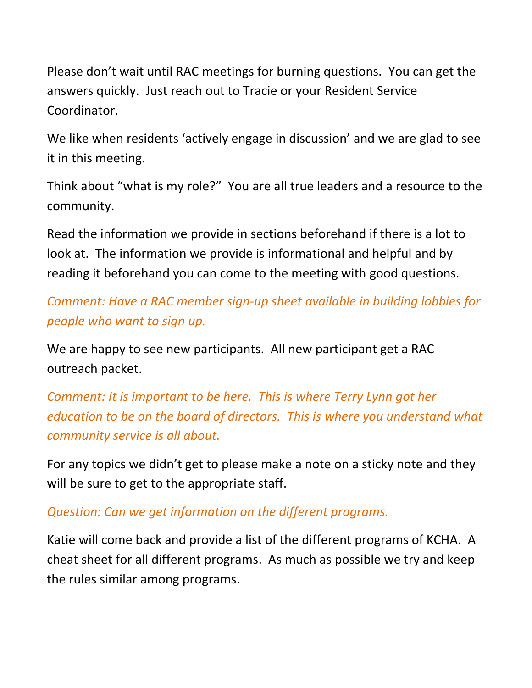Please don't wait until RAC meetings for burning questions. You can get the answers quickly. Just reach out to Tracie or your Resident Service Coordinator.

We like when residents 'actively engage in discussion' and we are glad to see it in this meeting.

Think about "what is my role?" You are all true leaders and a resource to the community.

Read the information we provide in sections beforehand if there is a lot to look at. The information we provide is informational and helpful and by reading it beforehand you can come to the meeting with good questions.

*Comment: Have a RAC member sign-up sheet available in building lobbies for people who want to sign up.*

We are happy to see new participants. All new participant get a RAC outreach packet.

*Comment: It is important to be here. This is where Terry Lynn got her education to be on the board of directors. This is where you understand what community service is all about.* 

For any topics we didn't get to please make a note on a sticky note and they will be sure to get to the appropriate staff.

*Question: Can we get information on the different programs.* 

Katie will come back and provide a list of the different programs of KCHA. A cheat sheet for all different programs. As much as possible we try and keep the rules similar among programs.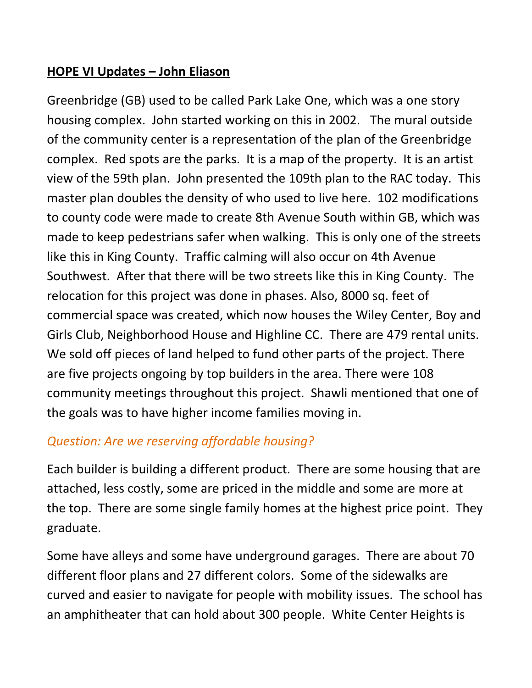#### **HOPE VI Updates – John Eliason**

Greenbridge (GB) used to be called Park Lake One, which was a one story housing complex. John started working on this in 2002. The mural outside of the community center is a representation of the plan of the Greenbridge complex. Red spots are the parks. It is a map of the property. It is an artist view of the 59th plan. John presented the 109th plan to the RAC today. This master plan doubles the density of who used to live here. 102 modifications to county code were made to create 8th Avenue South within GB, which was made to keep pedestrians safer when walking. This is only one of the streets like this in King County. Traffic calming will also occur on 4th Avenue Southwest. After that there will be two streets like this in King County. The relocation for this project was done in phases. Also, 8000 sq. feet of commercial space was created, which now houses the Wiley Center, Boy and Girls Club, Neighborhood House and Highline CC. There are 479 rental units. We sold off pieces of land helped to fund other parts of the project. There are five projects ongoing by top builders in the area. There were 108 community meetings throughout this project. Shawli mentioned that one of the goals was to have higher income families moving in.

## *Question: Are we reserving affordable housing?*

Each builder is building a different product. There are some housing that are attached, less costly, some are priced in the middle and some are more at the top. There are some single family homes at the highest price point. They graduate.

Some have alleys and some have underground garages. There are about 70 different floor plans and 27 different colors. Some of the sidewalks are curved and easier to navigate for people with mobility issues. The school has an amphitheater that can hold about 300 people. White Center Heights is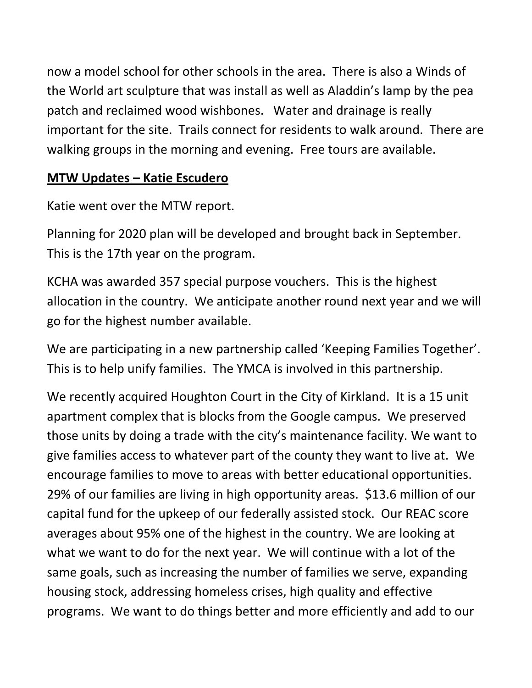now a model school for other schools in the area. There is also a Winds of the World art sculpture that was install as well as Aladdin's lamp by the pea patch and reclaimed wood wishbones. Water and drainage is really important for the site. Trails connect for residents to walk around. There are walking groups in the morning and evening. Free tours are available.

#### **MTW Updates – Katie Escudero**

Katie went over the MTW report.

Planning for 2020 plan will be developed and brought back in September. This is the 17th year on the program.

KCHA was awarded 357 special purpose vouchers. This is the highest allocation in the country. We anticipate another round next year and we will go for the highest number available.

We are participating in a new partnership called 'Keeping Families Together'. This is to help unify families. The YMCA is involved in this partnership.

We recently acquired Houghton Court in the City of Kirkland. It is a 15 unit apartment complex that is blocks from the Google campus. We preserved those units by doing a trade with the city's maintenance facility. We want to give families access to whatever part of the county they want to live at. We encourage families to move to areas with better educational opportunities. 29% of our families are living in high opportunity areas. \$13.6 million of our capital fund for the upkeep of our federally assisted stock. Our REAC score averages about 95% one of the highest in the country. We are looking at what we want to do for the next year. We will continue with a lot of the same goals, such as increasing the number of families we serve, expanding housing stock, addressing homeless crises, high quality and effective programs. We want to do things better and more efficiently and add to our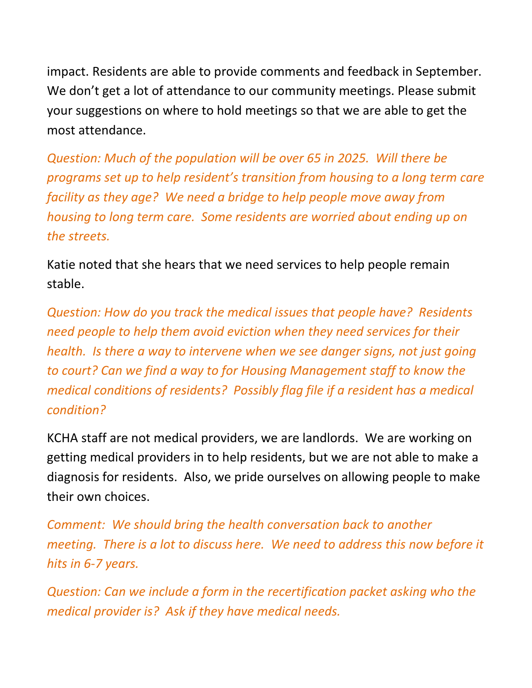impact. Residents are able to provide comments and feedback in September. We don't get a lot of attendance to our community meetings. Please submit your suggestions on where to hold meetings so that we are able to get the most attendance.

*Question: Much of the population will be over 65 in 2025. Will there be programs set up to help resident's transition from housing to a long term care facility as they age? We need a bridge to help people move away from housing to long term care. Some residents are worried about ending up on the streets.* 

Katie noted that she hears that we need services to help people remain stable.

*Question: How do you track the medical issues that people have? Residents need people to help them avoid eviction when they need services for their health. Is there a way to intervene when we see danger signs, not just going to court? Can we find a way to for Housing Management staff to know the medical conditions of residents? Possibly flag file if a resident has a medical condition?*

KCHA staff are not medical providers, we are landlords. We are working on getting medical providers in to help residents, but we are not able to make a diagnosis for residents. Also, we pride ourselves on allowing people to make their own choices.

*Comment: We should bring the health conversation back to another meeting. There is a lot to discuss here. We need to address this now before it hits in 6-7 years.* 

*Question: Can we include a form in the recertification packet asking who the medical provider is? Ask if they have medical needs.*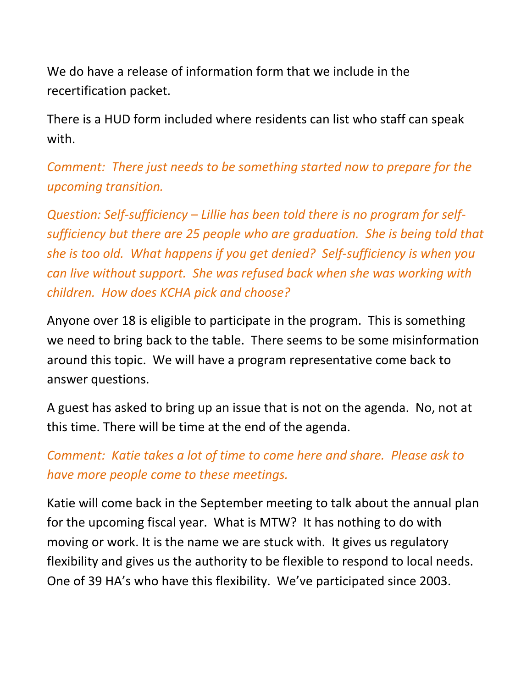We do have a release of information form that we include in the recertification packet.

There is a HUD form included where residents can list who staff can speak with.

*Comment: There just needs to be something started now to prepare for the upcoming transition.* 

*Question: Self-sufficiency – Lillie has been told there is no program for selfsufficiency but there are 25 people who are graduation. She is being told that she is too old. What happens if you get denied? Self-sufficiency is when you can live without support. She was refused back when she was working with children. How does KCHA pick and choose?*

Anyone over 18 is eligible to participate in the program. This is something we need to bring back to the table. There seems to be some misinformation around this topic. We will have a program representative come back to answer questions.

A guest has asked to bring up an issue that is not on the agenda. No, not at this time. There will be time at the end of the agenda.

# *Comment: Katie takes a lot of time to come here and share. Please ask to have more people come to these meetings.*

Katie will come back in the September meeting to talk about the annual plan for the upcoming fiscal year. What is MTW? It has nothing to do with moving or work. It is the name we are stuck with. It gives us regulatory flexibility and gives us the authority to be flexible to respond to local needs. One of 39 HA's who have this flexibility. We've participated since 2003.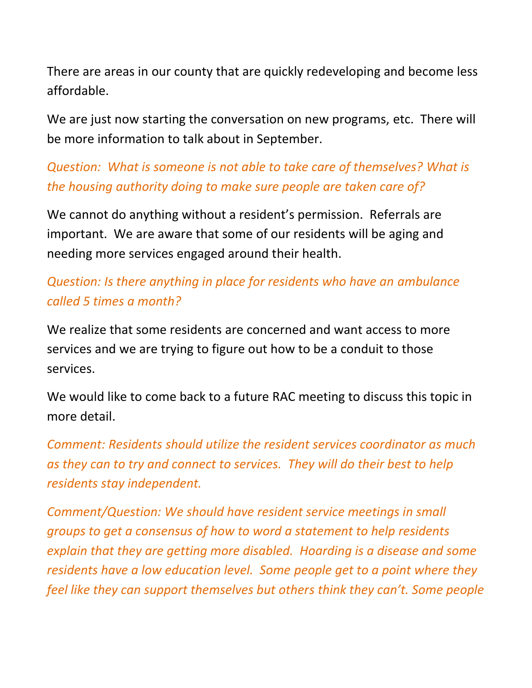There are areas in our county that are quickly redeveloping and become less affordable.

We are just now starting the conversation on new programs, etc. There will be more information to talk about in September.

*Question: What is someone is not able to take care of themselves? What is the housing authority doing to make sure people are taken care of?* 

We cannot do anything without a resident's permission. Referrals are important. We are aware that some of our residents will be aging and needing more services engaged around their health.

# *Question: Is there anything in place for residents who have an ambulance called 5 times a month?*

We realize that some residents are concerned and want access to more services and we are trying to figure out how to be a conduit to those services.

We would like to come back to a future RAC meeting to discuss this topic in more detail.

*Comment: Residents should utilize the resident services coordinator as much as they can to try and connect to services. They will do their best to help residents stay independent.* 

*Comment/Question: We should have resident service meetings in small groups to get a consensus of how to word a statement to help residents explain that they are getting more disabled. Hoarding is a disease and some residents have a low education level. Some people get to a point where they feel like they can support themselves but others think they can't. Some people*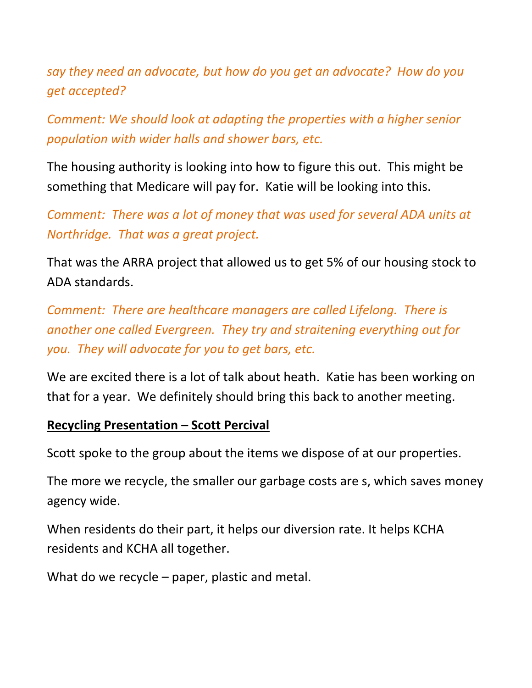*say they need an advocate, but how do you get an advocate? How do you get accepted?*

*Comment: We should look at adapting the properties with a higher senior population with wider halls and shower bars, etc.*

The housing authority is looking into how to figure this out. This might be something that Medicare will pay for. Katie will be looking into this.

*Comment: There was a lot of money that was used for several ADA units at Northridge. That was a great project.* 

That was the ARRA project that allowed us to get 5% of our housing stock to ADA standards.

*Comment: There are healthcare managers are called Lifelong. There is another one called Evergreen. They try and straitening everything out for you. They will advocate for you to get bars, etc.* 

We are excited there is a lot of talk about heath. Katie has been working on that for a year. We definitely should bring this back to another meeting.

#### **Recycling Presentation – Scott Percival**

Scott spoke to the group about the items we dispose of at our properties.

The more we recycle, the smaller our garbage costs are s, which saves money agency wide.

When residents do their part, it helps our diversion rate. It helps KCHA residents and KCHA all together.

What do we recycle – paper, plastic and metal.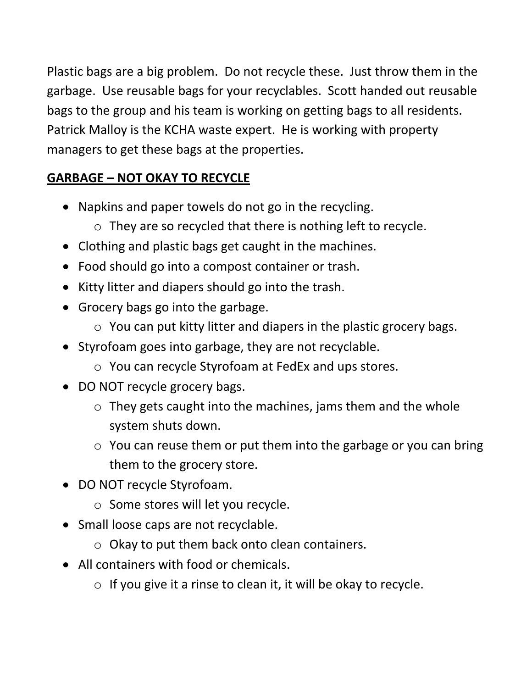Plastic bags are a big problem. Do not recycle these. Just throw them in the garbage. Use reusable bags for your recyclables. Scott handed out reusable bags to the group and his team is working on getting bags to all residents. Patrick Malloy is the KCHA waste expert. He is working with property managers to get these bags at the properties.

# **GARBAGE – NOT OKAY TO RECYCLE**

- Napkins and paper towels do not go in the recycling.
	- o They are so recycled that there is nothing left to recycle.
- Clothing and plastic bags get caught in the machines.
- Food should go into a compost container or trash.
- Kitty litter and diapers should go into the trash.
- Grocery bags go into the garbage.
	- o You can put kitty litter and diapers in the plastic grocery bags.
- Styrofoam goes into garbage, they are not recyclable.
	- o You can recycle Styrofoam at FedEx and ups stores.
- DO NOT recycle grocery bags.
	- $\circ$  They gets caught into the machines, jams them and the whole system shuts down.
	- $\circ$  You can reuse them or put them into the garbage or you can bring them to the grocery store.
- DO NOT recycle Styrofoam.
	- o Some stores will let you recycle.
- Small loose caps are not recyclable.
	- o Okay to put them back onto clean containers.
- All containers with food or chemicals.
	- $\circ$  If you give it a rinse to clean it, it will be okay to recycle.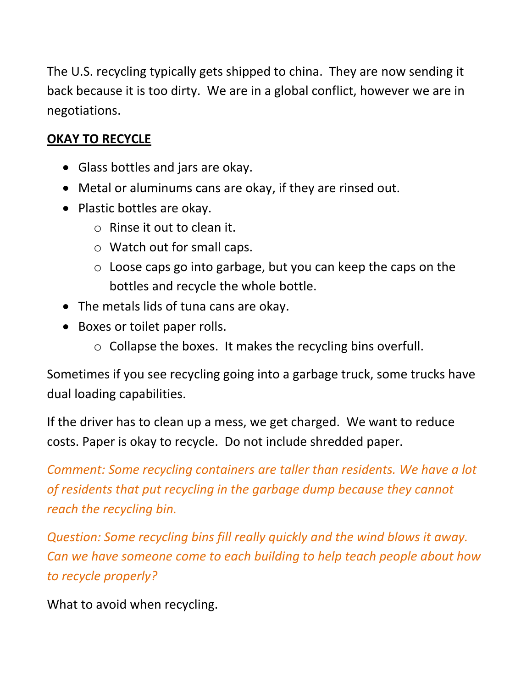The U.S. recycling typically gets shipped to china. They are now sending it back because it is too dirty. We are in a global conflict, however we are in negotiations.

## **OKAY TO RECYCLE**

- Glass bottles and jars are okay.
- Metal or aluminums cans are okay, if they are rinsed out.
- Plastic bottles are okay.
	- o Rinse it out to clean it.
	- o Watch out for small caps.
	- o Loose caps go into garbage, but you can keep the caps on the bottles and recycle the whole bottle.
- The metals lids of tuna cans are okay.
- Boxes or toilet paper rolls.
	- o Collapse the boxes. It makes the recycling bins overfull.

Sometimes if you see recycling going into a garbage truck, some trucks have dual loading capabilities.

If the driver has to clean up a mess, we get charged. We want to reduce costs. Paper is okay to recycle. Do not include shredded paper.

*Comment: Some recycling containers are taller than residents. We have a lot of residents that put recycling in the garbage dump because they cannot reach the recycling bin.*

*Question: Some recycling bins fill really quickly and the wind blows it away. Can we have someone come to each building to help teach people about how to recycle properly?*

What to avoid when recycling.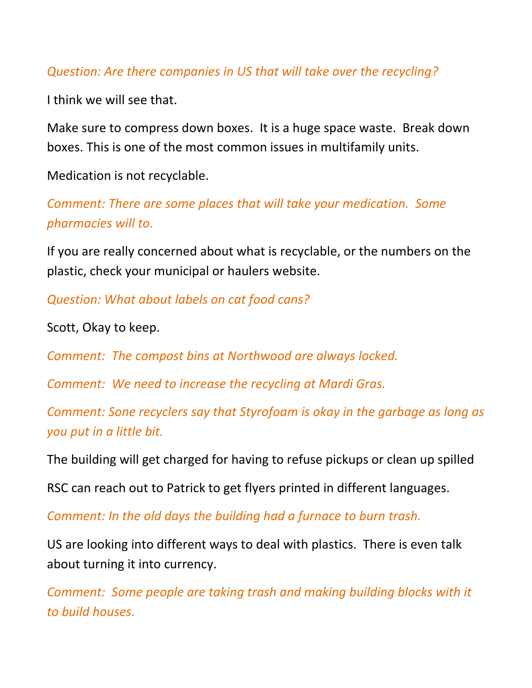#### *Question: Are there companies in US that will take over the recycling?*

I think we will see that.

Make sure to compress down boxes. It is a huge space waste. Break down boxes. This is one of the most common issues in multifamily units.

Medication is not recyclable.

*Comment: There are some places that will take your medication. Some pharmacies will to.* 

If you are really concerned about what is recyclable, or the numbers on the plastic, check your municipal or haulers website.

*Question: What about labels on cat food cans?*

Scott, Okay to keep.

*Comment: The compost bins at Northwood are always locked.*

*Comment: We need to increase the recycling at Mardi Gras.*

*Comment: Sone recyclers say that Styrofoam is okay in the garbage as long as you put in a little bit.*

The building will get charged for having to refuse pickups or clean up spilled

RSC can reach out to Patrick to get flyers printed in different languages.

*Comment: In the old days the building had a furnace to burn trash.* 

US are looking into different ways to deal with plastics. There is even talk about turning it into currency.

*Comment: Some people are taking trash and making building blocks with it to build houses.*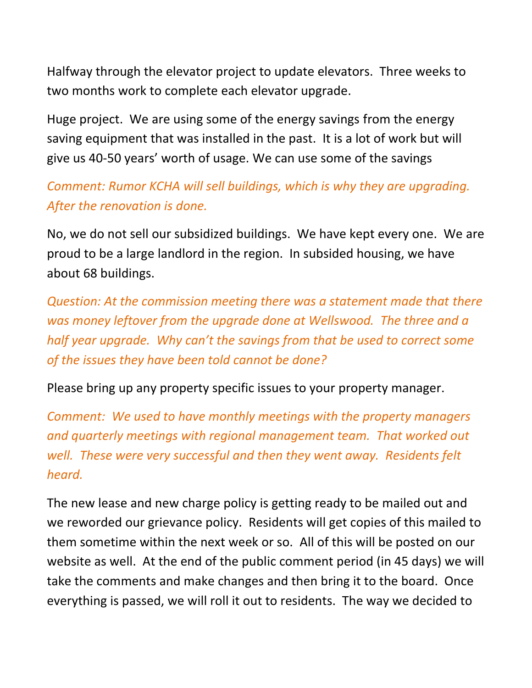Halfway through the elevator project to update elevators. Three weeks to two months work to complete each elevator upgrade.

Huge project. We are using some of the energy savings from the energy saving equipment that was installed in the past. It is a lot of work but will give us 40-50 years' worth of usage. We can use some of the savings

*Comment: Rumor KCHA will sell buildings, which is why they are upgrading. After the renovation is done.*

No, we do not sell our subsidized buildings. We have kept every one. We are proud to be a large landlord in the region. In subsided housing, we have about 68 buildings.

*Question: At the commission meeting there was a statement made that there was money leftover from the upgrade done at Wellswood. The three and a half year upgrade. Why can't the savings from that be used to correct some of the issues they have been told cannot be done?*

Please bring up any property specific issues to your property manager.

*Comment: We used to have monthly meetings with the property managers and quarterly meetings with regional management team. That worked out well. These were very successful and then they went away. Residents felt heard.*

The new lease and new charge policy is getting ready to be mailed out and we reworded our grievance policy. Residents will get copies of this mailed to them sometime within the next week or so. All of this will be posted on our website as well. At the end of the public comment period (in 45 days) we will take the comments and make changes and then bring it to the board. Once everything is passed, we will roll it out to residents. The way we decided to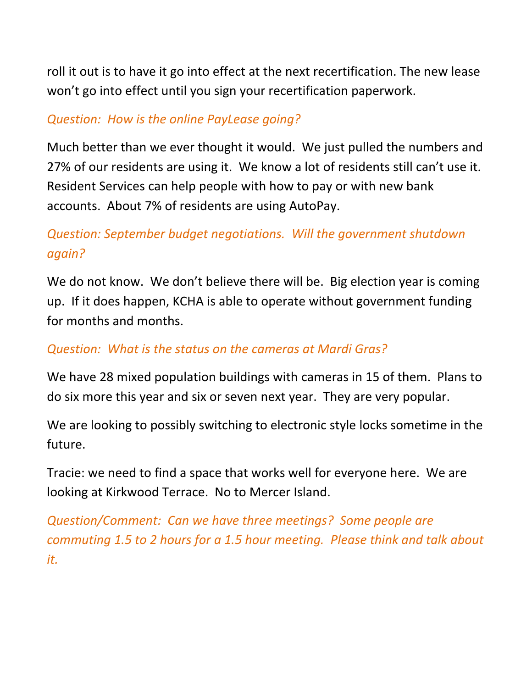roll it out is to have it go into effect at the next recertification. The new lease won't go into effect until you sign your recertification paperwork.

## *Question: How is the online PayLease going?*

Much better than we ever thought it would. We just pulled the numbers and 27% of our residents are using it. We know a lot of residents still can't use it. Resident Services can help people with how to pay or with new bank accounts. About 7% of residents are using AutoPay.

# *Question: September budget negotiations. Will the government shutdown again?*

We do not know. We don't believe there will be. Big election year is coming up. If it does happen, KCHA is able to operate without government funding for months and months.

## *Question: What is the status on the cameras at Mardi Gras?*

We have 28 mixed population buildings with cameras in 15 of them. Plans to do six more this year and six or seven next year. They are very popular.

We are looking to possibly switching to electronic style locks sometime in the future.

Tracie: we need to find a space that works well for everyone here. We are looking at Kirkwood Terrace. No to Mercer Island.

*Question/Comment: Can we have three meetings? Some people are commuting 1.5 to 2 hours for a 1.5 hour meeting. Please think and talk about it.*